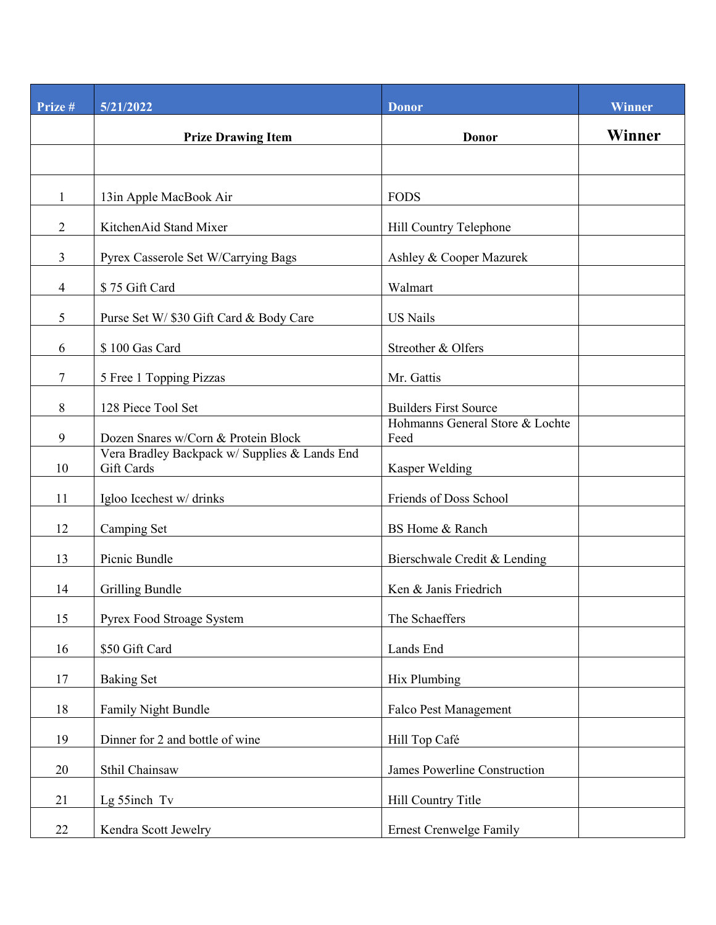| Prize #          | 5/21/2022                                                   | <b>Donor</b>                            | <b>Winner</b> |
|------------------|-------------------------------------------------------------|-----------------------------------------|---------------|
|                  | <b>Prize Drawing Item</b>                                   | <b>Donor</b>                            | Winner        |
|                  |                                                             |                                         |               |
| $\mathbf{1}$     | 13in Apple MacBook Air                                      | <b>FODS</b>                             |               |
| $\overline{2}$   | KitchenAid Stand Mixer                                      | Hill Country Telephone                  |               |
| $\overline{3}$   | Pyrex Casserole Set W/Carrying Bags                         | Ashley & Cooper Mazurek                 |               |
| $\overline{4}$   | \$75 Gift Card                                              | Walmart                                 |               |
| 5                | Purse Set W/ \$30 Gift Card & Body Care                     | <b>US Nails</b>                         |               |
| 6                | \$100 Gas Card                                              | Streother & Olfers                      |               |
| 7                | 5 Free 1 Topping Pizzas                                     | Mr. Gattis                              |               |
| $\,8\,$          | 128 Piece Tool Set                                          | <b>Builders First Source</b>            |               |
| $\boldsymbol{9}$ | Dozen Snares w/Corn & Protein Block                         | Hohmanns General Store & Lochte<br>Feed |               |
| 10               | Vera Bradley Backpack w/ Supplies & Lands End<br>Gift Cards | Kasper Welding                          |               |
| 11               | Igloo Icechest w/ drinks                                    | Friends of Doss School                  |               |
| 12               | Camping Set                                                 | BS Home & Ranch                         |               |
| 13               | Picnic Bundle                                               | Bierschwale Credit & Lending            |               |
| 14               | Grilling Bundle                                             | Ken & Janis Friedrich                   |               |
| 15               | Pyrex Food Stroage System                                   | The Schaeffers                          |               |
| 16               | \$50 Gift Card                                              | Lands End                               |               |
| 17               | <b>Baking Set</b>                                           | Hix Plumbing                            |               |
| 18               | Family Night Bundle                                         | Falco Pest Management                   |               |
| 19               | Dinner for 2 and bottle of wine                             | Hill Top Café                           |               |
| 20               | Sthil Chainsaw                                              | James Powerline Construction            |               |
| 21               | Lg 55inch Tv                                                | Hill Country Title                      |               |
| 22               | Kendra Scott Jewelry                                        | <b>Ernest Crenwelge Family</b>          |               |